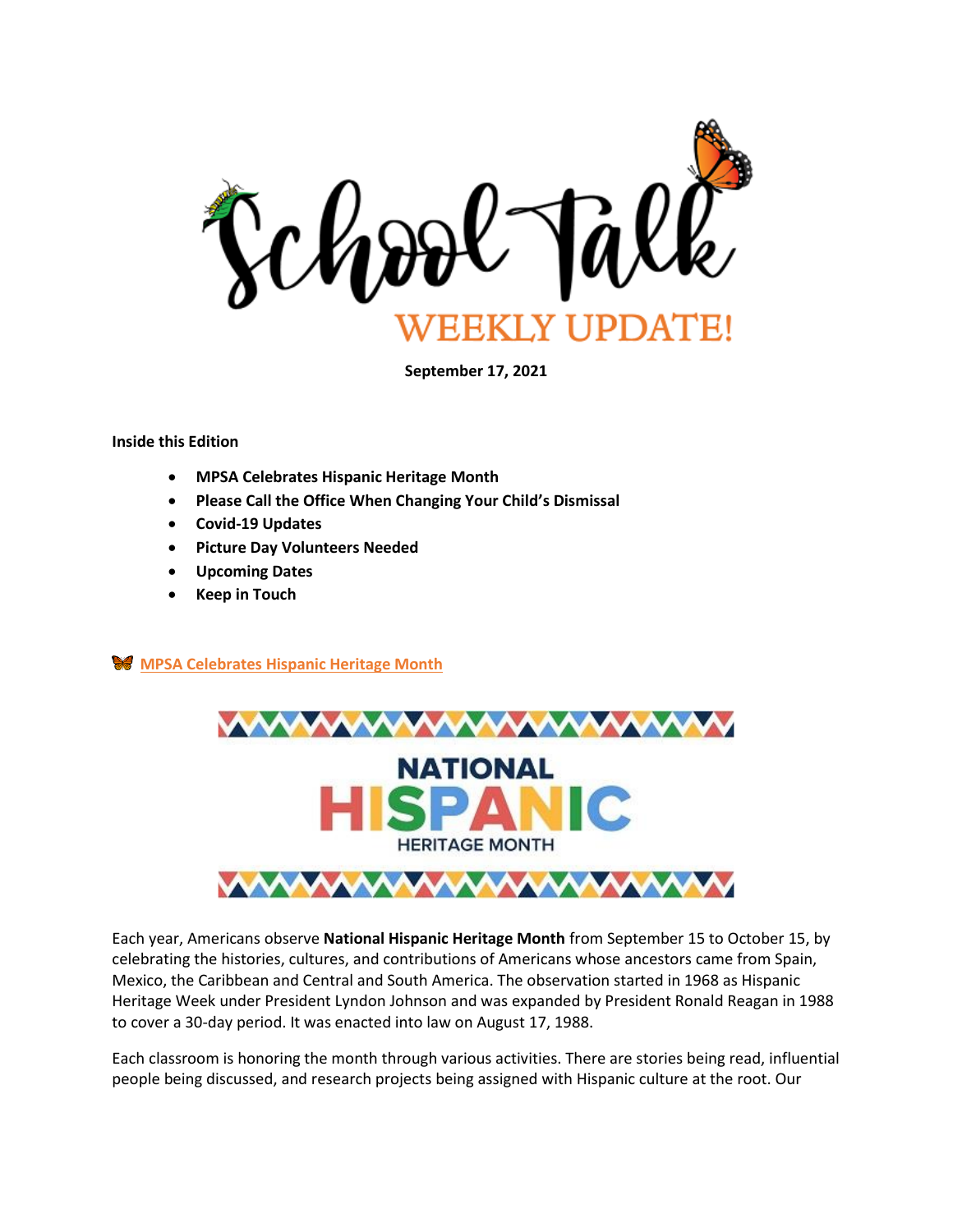

**September 17, 2021**

**Inside this Edition**

- **MPSA Celebrates Hispanic Heritage Month**
- **Please Call the Office When Changing Your Child's Dismissal**
- **Covid-19 Updates**
- **Picture Day Volunteers Needed**
- **Upcoming Dates**
- **Keep in Touch**

## **MPSA Celebrates Hispanic Heritage Month**



Each year, Americans observe **National Hispanic Heritage Month** from September 15 to October 15, by celebrating the histories, cultures, and contributions of Americans whose ancestors came from Spain, Mexico, the Caribbean and Central and South America. The observation started in 1968 as Hispanic Heritage Week under President Lyndon Johnson and was expanded by President Ronald Reagan in 1988 to cover a 30-day period. It was enacted into law on August 17, 1988.

Each classroom is honoring the month through various activities. There are stories being read, influential people being discussed, and research projects being assigned with Hispanic culture at the root. Our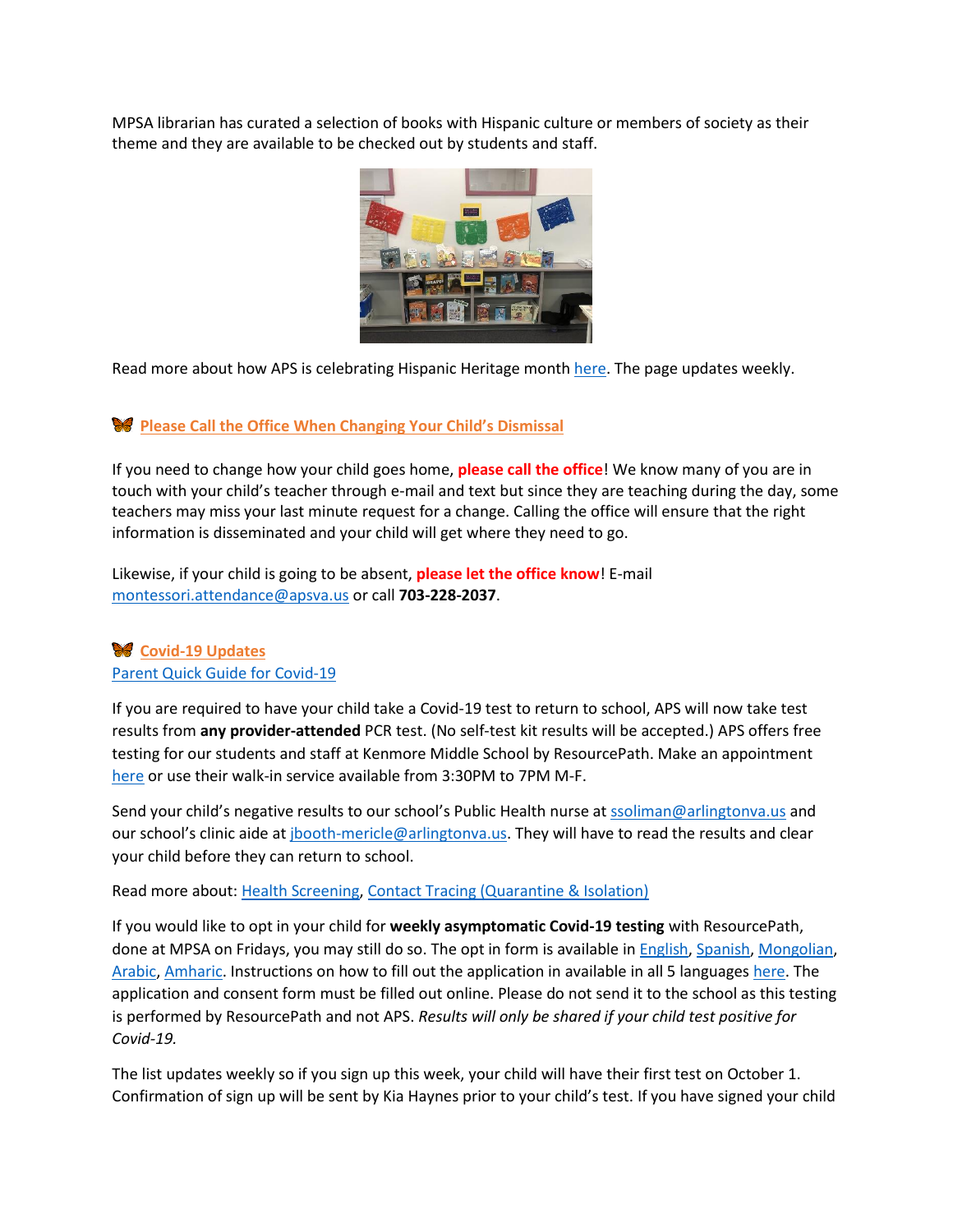MPSA librarian has curated a selection of books with Hispanic culture or members of society as their theme and they are available to be checked out by students and staff.



Read more about how APS is celebrating Hispanic Heritage month [here.](https://www.apsva.us/hispanic-heritage-month/) The page updates weekly.

## **Please Call the Office When Changing Your Child's Dismissal**

If you need to change how your child goes home, **please call the office**! We know many of you are in touch with your child's teacher through e-mail and text but since they are teaching during the day, some teachers may miss your last minute request for a change. Calling the office will ensure that the right information is disseminated and your child will get where they need to go.

Likewise, if your child is going to be absent, **please let the office know**! E-mail [montessori.attendance@apsva.us](mailto:montessori.attendance@apsva.us) or call **703-228-2037**.

## **Covid-19 Updates** [Parent Quick Guide for Covid-19](https://www.apsva.us/wp-content/uploads/2021/09/parent-quick-guide-covid.pdf)

If you are required to have your child take a Covid-19 test to return to school, APS will now take test results from **any provider-attended** PCR test. (No self-test kit results will be accepted.) APS offers free testing for our students and staff at Kenmore Middle School by ResourcePath. Make an appointment [here](https://www.resourcepath.net/covid-19-testing-at-aps/symptom-exposed-backtoschool/) or use their walk-in service available from 3:30PM to 7PM M-F.

Send your child's negative results to our school's Public Health nurse a[t ssoliman@arlingtonva.us](mailto:ssoliman@arlingtonva.us) and our school's clinic aide a[t jbooth-mericle@arlingtonva.us.](mailto:jbooth-mericle@arlingtonva.us) They will have to read the results and clear your child before they can return to school.

### Read more about: [Health Screening,](https://www.apsva.us/school-year-2021-22/health-safety-information/health-screening/) [Contact Tracing \(Quarantine & Isolation\)](https://www.apsva.us/school-year-2021-22/health-safety-information/contact-tracing-quarantine-isolation/)

If you would like to opt in your child for **weekly asymptomatic Covid-19 testing** with ResourcePath, done at MPSA on Fridays, you may still do so. The opt in form is available in [English,](https://intakeq.com/new/v2el2k/XYbiT3) [Spanish,](https://intakeq.com/new/v2el2k/16ZP9I) [Mongolian,](https://intakeq.com/new/v2el2k/tej9In) [Arabic,](https://intakeq.com/new/v2el2k/g3fXl6) [Amharic.](https://intakeq.com/new/v2el2k/SmQp3u) Instructions on how to fill out the application in available in all 5 languages [here.](https://www.resourcepath.net/covid-19-testing-at-aps/signing-up-for-school-testing/) The application and consent form must be filled out online. Please do not send it to the school as this testing is performed by ResourcePath and not APS. *Results will only be shared if your child test positive for Covid-19.* 

The list updates weekly so if you sign up this week, your child will have their first test on October 1. Confirmation of sign up will be sent by Kia Haynes prior to your child's test. If you have signed your child